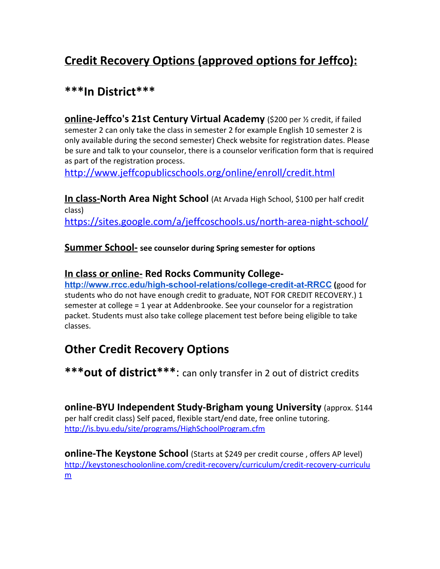# **Credit Recovery Options (approved options for Jeffco):**

## **\*\*\*In District\*\*\***

**online-Jeffco's 21st Century Virtual Academy** (\$200 per ½ credit, if failed semester 2 can only take the class in semester 2 for example English 10 semester 2 is only available during the second semester) Check website for registration dates. Please be sure and talk to your counselor, there is a counselor verification form that is required as part of the registration process.

<http://www.jeffcopublicschools.org/online/enroll/credit.html>

**In class-North Area Night School** (At Arvada High School, \$100 per half credit class) <https://sites.google.com/a/jeffcoschools.us/north-area-night-school/>

**Summer School- see counselor during Spring semester for options**

#### **In class or online- Red Rocks Community College-**

**<http://www.rrcc.edu/high-school-relations/college-credit-at-RRCC> (**good for students who do not have enough credit to graduate, NOT FOR CREDIT RECOVERY.) 1 semester at college = 1 year at Addenbrooke. See your counselor for a registration packet. Students must also take college placement test before being eligible to take classes.

## **Other Credit Recovery Options**

**\*\*\*out of district\*\*\***: can only transfer in 2 out of district credits

**online-BYU Independent Study-Brigham young University** (approx. \$144 per half credit class) Self paced, flexible start/end date, free online tutoring. <http://is.byu.edu/site/programs/HighSchoolProgram.cfm>

**online-The Keystone School** (Starts at \$249 per credit course , offers AP level) [http://keystoneschoolonline.com/credit-recovery/curriculum/credit-recovery-curriculu](http://keystoneschoolonline.com/credit-recovery/curriculum/credit-recovery-curriculum) [m](http://keystoneschoolonline.com/credit-recovery/curriculum/credit-recovery-curriculum)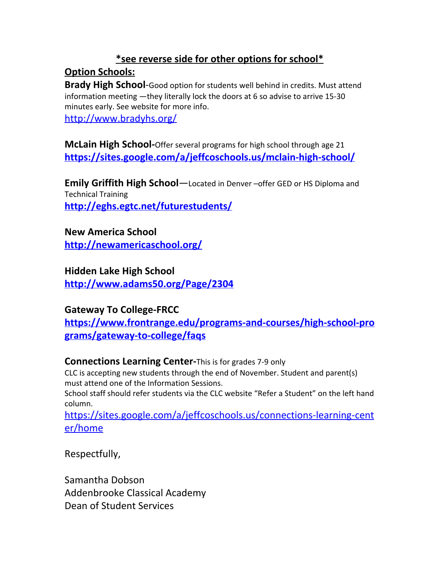### **\*see reverse side for other options for school\***

#### **Option Schools:**

**Brady High School**-Good option for students well behind in credits. Must attend information meeting —they literally lock the doors at 6 so advise to arrive 15-30 minutes early. See website for more info.

<http://www.bradyhs.org/>

**McLain High School-**Offer several programs for high school through age 21 **<https://sites.google.com/a/jeffcoschools.us/mclain-high-school/>**

**Emily Griffith High School**—Located in Denver –offer GED or HS Diploma and Technical Training

**<http://eghs.egtc.net/futurestudents/>**

#### **New America School**

**<http://newamericaschool.org/>**

#### **Hidden Lake High School**

**<http://www.adams50.org/Page/2304>**

#### **Gateway To College-FRCC**

**[https://www.frontrange.edu/programs-and-courses/high-school-pro](https://www.frontrange.edu/programs-and-courses/high-school-programs/gateway-to-college/faqs) [grams/gateway-to-college/faqs](https://www.frontrange.edu/programs-and-courses/high-school-programs/gateway-to-college/faqs)**

#### **Connections Learning Center-**This is for grades 7-9 only

CLC is accepting new students through the end of November. Student and parent(s) must attend one of the Information Sessions.

School staff should refer students via the CLC website "Refer a Student" on the left hand column.

[https://sites.google.com/a/jeffcoschools.us/connections-learning-cent](https://sites.google.com/a/jeffcoschools.us/connections-learning-center/home) [er/home](https://sites.google.com/a/jeffcoschools.us/connections-learning-center/home)

Respectfully,

Samantha Dobson Addenbrooke Classical Academy Dean of Student Services